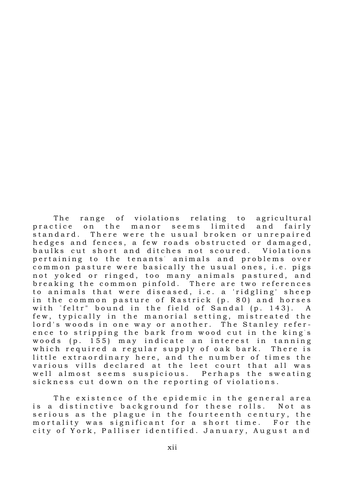The range of violations relating to agricultural practice on the manor seems limited and fairly standard. There were the usual broken or unrepaired hedges and fences, a few roads obstructed or damaged, baulks cut short and ditches not scoured. Violations pertaining to the tenants' animals and problems over common pasture were basically the usual ones, i.e. pigs not yoked or ringed, too many animals pastured, and breaking the common pinfold. There are two references to animals that were diseased, i.e. a 'ridgling' sheep in the common pasture of Rastrick (p. 80) and horses with "feltr" bound in the field of Sandal (p. 143). A few, typically in the manorial setting, mistreated the lord's woods in one way or another. The Stanley reference to stripping the bark from wood cut in the king's woods (p. 155) may indicate an interest in tanning which required a regular supply of oak bark. There is little extraordinary here, and the number of times the various vills declared at the leet court that all was well almost seems suspicious. Perhaps the sweating sickness cut down on the reporting of violations.

The existence of the epidemic in the general area is a distinctive background for these rolls. Not as serious as the plague in the fourteenth century, the mortality was significant for a short time. For the city of York, Palliser identified. January, August and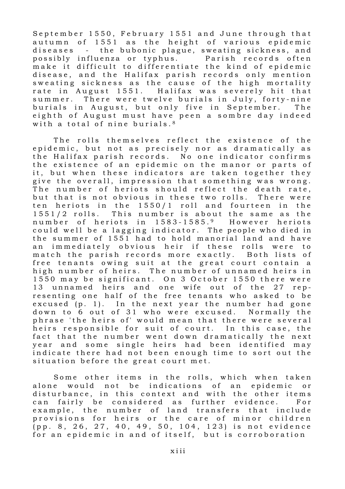September 1550, February 1551 and June through that autumn of 1551 as the height of various epidemic diseases - the bubonic plague, sweating sickness, and possibly influenza or typhus. Parish records often make it difficult to differentiate the kind of epidemic disease, and the Halifax parish records only mention sweating sickness as the cause of the high mortality rate in August 1551. Halifax was severely hit that summer. There were twelve burials in July, forty-nine burials in August, but only five in September. The eighth of August must have peen a sombre day indeed with a total of nine burials. $8$ 

The rolls themselves reflect the existence of the epidemic, but not as precisely nor as dramatically as the Halifax parish records. No one indicator confirms the existence of an epidemic on the manor or parts of it, but when these indicators are taken together they give the overall, impression that something was wrong. The number of heriots should reflect the death rate, but that is not obvious in these two rolls. There were ten heriots in the  $1550/1$  roll and fourteen in the 1551/2 rolls. This number is about the same as the number of heriots in 1583-1585.9 However heriots could well be a lagging indicator. The people who died in the summer of 1551 had to hold manorial land and have an immediately obvious heir if these rolls were to match the parish records more exactly. Both lists of free tenants owing suit at the great court contain a high number of heirs. The number of unnamed heirs in 1550 may be significant. On 3 October 1550 there were 13 unnamed heirs and one wife out of the 27 representing one half of the free tenants who asked to be excused  $(p, 1)$ . In the next year the number had gone down to 6 out of 31 who were excused. Normally the phrase 'the heirs of' would mean that there were several heirs responsible for suit of court. In this case, the fact that the number went down dramatically the next year and some single heirs had been identified may indicate there had not been enough time to sort out the situation before the great court met.

Some other items in the rolls, which when taken alone would not be indications of an epidemic or disturbance, in this context and with the other items can fairly be considered as further evidence. For example, the number of land transfers that include provisions for heirs or the care of minor children (pp. 8, 26, 27, 40, 49, 50, 104, 123) is not evidence for an epidemic in and of itself, but is corroboration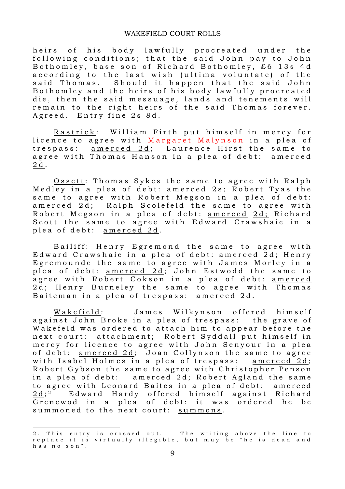heirs of his body lawfully procreated under the following conditions; that the said John pay to John Bothomley, base son of Richard Bothomley, £6 13s 4d according to the last wish (ultima voluntate) of the said Thomas. Should it happen that the said John Bothomley and the heirs of his body lawfully procreated die, then the said messuage, lands and tenements will remain to the right heirs of the said Thomas forever. Agreed. Entry fine 2s 8d.

Rastrick: William Firth put himself in mercy for licence to agree with Margaret Malynson in a plea of trespass: amerced 2d; Laurence Hirst the same to agree with Thomas Hanson in a plea of debt: amerced 2 d .

Ossett: Thomas Sykes the same to agree with Ralph Medley in a plea of debt: <u>amerced 2s</u>; Robert Tyas the same to agree with Robert Megson in a plea of debt: amerced 2d; Ralph Scolefeld the same to agree with Robert Megson in a plea of debt: amerced 2d; Richard Scott the same to agree with Edward Crawshaie in a plea of debt: amerced 2d.

Bailiff: Henry Egremond the same to agree with Edward Crawshaie in a plea of debt: amerced 2d; Henry Egremounde the same to agree with James Morley in a plea of debt: amerced  $2d$ ; John Estwodd the same to agree with Robert Cokson in a plea of debt: amerced 2d; Henry Burneley the same to agree with Thomas Baiteman in a plea of trespass: amerced 2d.

Wakefield: James Wilkynson offered himself against John Broke in a plea of trespass: the grave of Wakefeld was ordered to attach him to appear before the next court: attachment; Robert Syddall put himself in mercy for licence to agree with John Senyour in a plea of debt: amerced 2d; Joan Collynson the same to agree with Isabel Holmes in a plea of trespass: <u>amerced 2d;</u> Robert Gybson the same to agree with Christopher Penson in a plea of debt:  $\frac{amered}{2d}$ ; Robert Agland the same to agree with Leonard Baites in a plea of debt: amerced  $2d:2$ Edward Hardy offered himself against Richard Grenewod in a plea of debt: it was ordered he be summoned to the next court: summons.

.

<sup>2.</sup> This entry is crossed out. The writing above the line to replace it is virtually illegible, but may be "he is dead and has no son".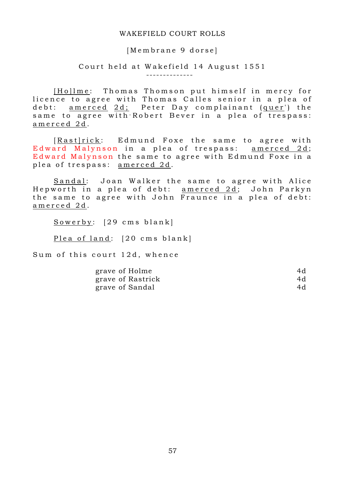## [Membrane 9 dorse]

# Court held at Wakefield 14 August 1551

--------------

[Ho] lme: Thomas Thomson put himself in mercy for licence to agree with Thomas Calles senior in a plea of debt: <u>amerced 2d;</u> Peter Day complainant (quer') the same to agree with Robert Bever in a plea of trespass: amerced 2d.

[Rast|rick: Edmund Foxe the same to agree with Edward Malynson in a plea of trespass: amerced 2d; Edward Malynson the same to agree with Edmund Foxe in a plea of trespass: amerced 2d.

Sandal: Joan Walker the same to agree with Alice Hepworth in a plea of debt: amerced 2d; John Parkyn the same to agree with John Fraunce in a plea of debt: amerced 2d.

Sowerby: [29 cms blank]

Plea of land: [20 cms blank]

Sum of this court 12d, whence

| grave of Holme    | 4d |
|-------------------|----|
| grave of Rastrick | 4d |
| grave of Sandal   | 4d |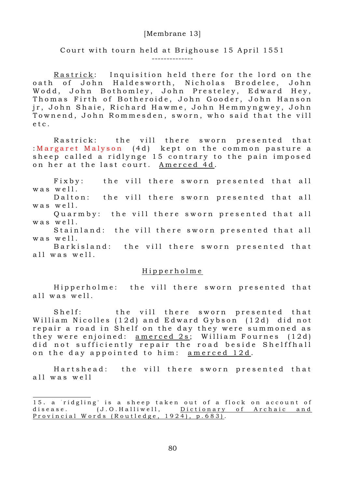## [Membrane 13]

## Court with tourn held at Brighouse 15 April 1551 --------------

Rastrick: Inquisition held there for the lord on the oath of John Haldesworth, Nicholas Brodelee, John Wodd, John Bothomley, John Presteley, Edward Hey, Thomas Firth of Botheroide, John Gooder, John Hanson jr, John Shaie, Richard Hawme, John Hemmyngwey, John Townend, John Rommesden, sworn, who said that the vill e t c.

Rastrick: the vill there sworn presented that : Margaret Malyson  $(4d)$  kept on the common pasture a sheep called a ridlynge 15 contrary to the pain imposed on her at the last court. Amerced 4d.

Fixby: the vill there sworn presented that all  $w$  as  $w$  e  $11$ .

Dalton: the vill there sworn presented that all  $w$  as  $w$  e  $11$ .

Quarmby: the vill there sworn presented that all  $w$  as  $w$  e  $11$ .

Stainland: the vill there sworn presented that all  $w$  as  $w$  e  $11$ .

Barkisland: the vill there sworn presented that all was well.

### H i p p e r h o l m e

Hipperholme: the vill there sworn presented that all was well.

Shelf: the vill there sworn presented that William Nicolles (12d) and Edward Gybson (12d) did not repair a road in Shelf on the day they were summoned as they were enjoined: amerced  $2s$ ; William Fournes  $(12d)$ did not sufficiently repair the road beside Shelffhall on the day appointed to him: amerced 12d.

Hartshead: the vill there sworn presented that all was well

.

<sup>15.</sup> a 'ridgling' is a sheep taken out of a flock on account of disease. (J.O.Halliwell, Dictionary of Archaic and Provincial Words (Routledge,  $192\overline{4}$ ), p.683).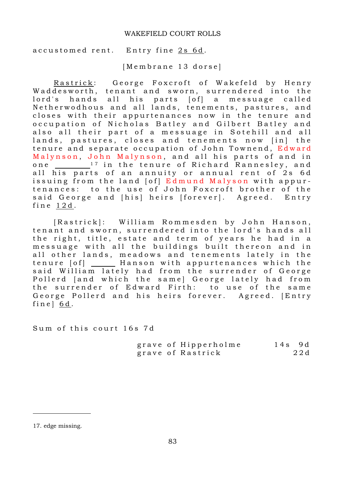accustomed rent. Entry fine 2s 6d.

[Membrane 13 dorse]

Rastrick: George Foxcroft of Wakefeld by Henry Waddesworth, tenant and sworn, surrendered into the lord's hands all his parts [of] a messuage called Netherwodhous and all lands, tenements, pastures, and closes with their appurtenances now in the tenure and occupation of Nicholas Batley and Gilbert Batley and also all their part of a messuage in Sotehill and all lands, pastures, closes and tenements now [in] the tenure and separate occupation of John Townend, Edward Malynson, John Malynson, and all his parts of and in one <sup>17</sup> in the tenure of Richard Rannesley, and all his parts of an annuity or annual rent of 2s 6d issuing from the land [of] Edmund Malyson with appurtenances: to the use of John Foxcroft brother of the said George and [his] heirs [forever]. Agreed. Entry fine  $12d$ .

[Rastrick]: William Rommesden by John Hanson, tenant and sworn, surrendered into the lord's hands all the right, title, estate and term of years he had in a messuage with all the buildings built thereon and in all other lands, meadows and tenements lately in the tenure [of] \_\_\_\_\_ Hanson with appurtenances which the said William lately had from the surrender of George Pollerd [and which the same] George lately had from the surrender of Edward Firth: to use of the same George Pollerd and his heirs forever. Agreed. [Entry fine  $\vert$  6d.

Sum of this court 16s 7d

|  | grave of Hipperholme | $14s$ 9d |     |
|--|----------------------|----------|-----|
|  | grave of Rastrick    |          | 22d |

.

<sup>17.</sup> edge missing.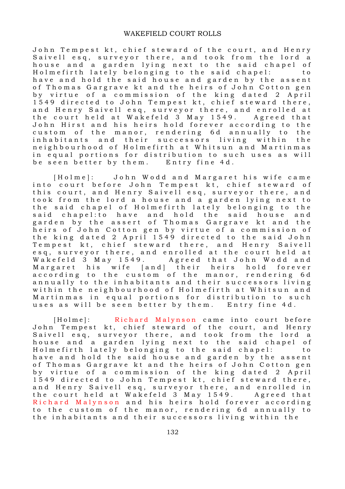John Tempest kt, chief steward of the court, and Henry Saivell esq, surveyor there, and took from the lord a house and a garden lying next to the said chapel of Holmefirth lately belonging to the said chapel: to have and hold the said house and garden by the assent of Thomas Gargrave kt and the heirs of John Cotton gen by virtue of a commission of the king dated 2 April 1549 directed to John Tempest kt, chief steward there, and Henry Saivell esq, surveyor there, and enrolled at the court held at Wakefeld 3 May 1549. Agreed that John Hirst and his heirs hold forever according to the custom of the manor, rendering 6d annually to the inhabitants and their successors living within the neighbourhood of Holmefirth at Whitsun and Martinmas in equal portions for distribution to such uses as will be seen better by them. Entry fine 4d.

[Holme]: John Wodd and Margaret his wife came into court before John Tempest kt, chief steward of this court, and Henry Saivell esq, surveyor there, and took from the lord a house and a garden lying next to the said chapel of Holmefirth lately belonging to the said chapel: to have and hold the said house and garden by the assert of Thomas Gargrave kt and the heirs of John Cotton gen by virtue of a commission of the king dated 2 April 1549 directed to the said John Tempest kt, chief steward there, and Henry Saivell esq, surveyor there, and enrolled at the court held at Wakefeld 3 May 1549. Agreed that John Wodd and Margaret his wife [and] their heirs hold forever according to the custom of the manor, rendering 6d annually to the inhabitants and their successors living within the neighbourhood of Holmefirth at Whitsun and Martinmas in equal portions for distribution to such uses as will be seen better by them. Entry fine 4d.

[Holme]: Richard Malynson came into court before John Tempest kt, chief steward of the court, and Henry Saivell esq, surveyor there, and took from the lord a house and a garden lying next to the said chapel of Holmefirth lately belonging to the said chapel: to have and hold the said house and garden by the assent of Thomas Gargrave kt and the heirs of John Cotton gen by virtue of a commission of the king dated 2 April 1549 directed to John Tempest kt, chief steward there, and Henry Saivell esq, surveyor there, and enrolled in the court held at Wakefeld 3 May 1549. Agreed that Richard Malynson and his heirs hold forever according to the custom of the manor, rendering 6d annually to the inhabitants and their successors living within the